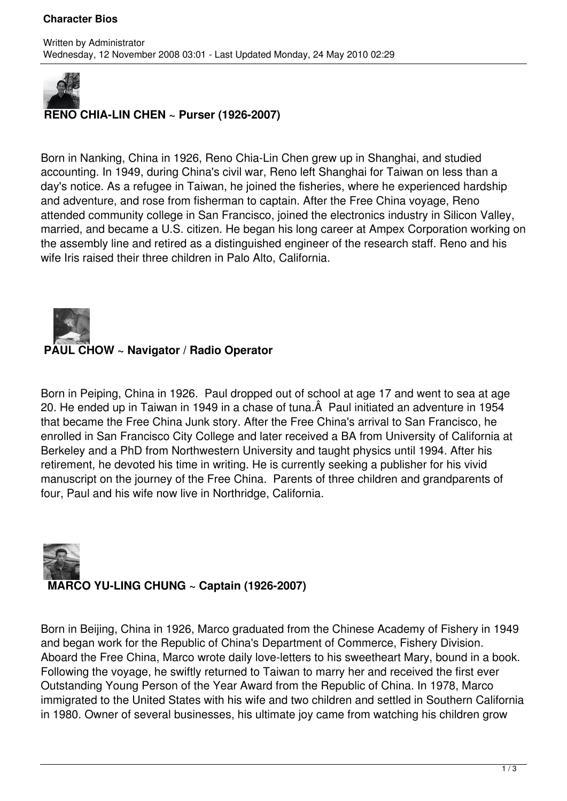#### **Character Bios**



## **RENO CHIA-LIN CHEN ~ Purser (1926-2007)**

Born in Nanking, China in 1926, Reno Chia-Lin Chen grew up in Shanghai, and studied accounting. In 1949, during China's civil war, Reno left Shanghai for Taiwan on less than a day's notice. As a refugee in Taiwan, he joined the fisheries, where he experienced hardship and adventure, and rose from fisherman to captain. After the Free China voyage, Reno attended community college in San Francisco, joined the electronics industry in Silicon Valley, married, and became a U.S. citizen. He began his long career at Ampex Corporation working on the assembly line and retired as a distinguished engineer of the research staff. Reno and his wife Iris raised their three children in Palo Alto, California.



Born in Peiping, China in 1926. Paul dropped out of school at age 17 and went to sea at age 20. He ended up in Taiwan in 1949 in a chase of tuna. A Paul initiated an adventure in 1954 that became the Free China Junk story. After the Free China's arrival to San Francisco, he enrolled in San Francisco City College and later received a BA from University of California at Berkeley and a PhD from Northwestern University and taught physics until 1994. After his retirement, he devoted his time in writing. He is currently seeking a publisher for his vivid manuscript on the journey of the Free China. Parents of three children and grandparents of four, Paul and his wife now live in Northridge, California.

# **MARCO YU-LING CHUNG ~ Captain (1926-2007)**

Born in Beijing, China in 1926, Marco graduated from the Chinese Academy of Fishery in 1949 and began work for the Republic of China's Department of Commerce, Fishery Division. Aboard the Free China, Marco wrote daily love-letters to his sweetheart Mary, bound in a book. Following the voyage, he swiftly returned to Taiwan to marry her and received the first ever Outstanding Young Person of the Year Award from the Republic of China. In 1978, Marco immigrated to the United States with his wife and two children and settled in Southern California in 1980. Owner of several businesses, his ultimate joy came from watching his children grow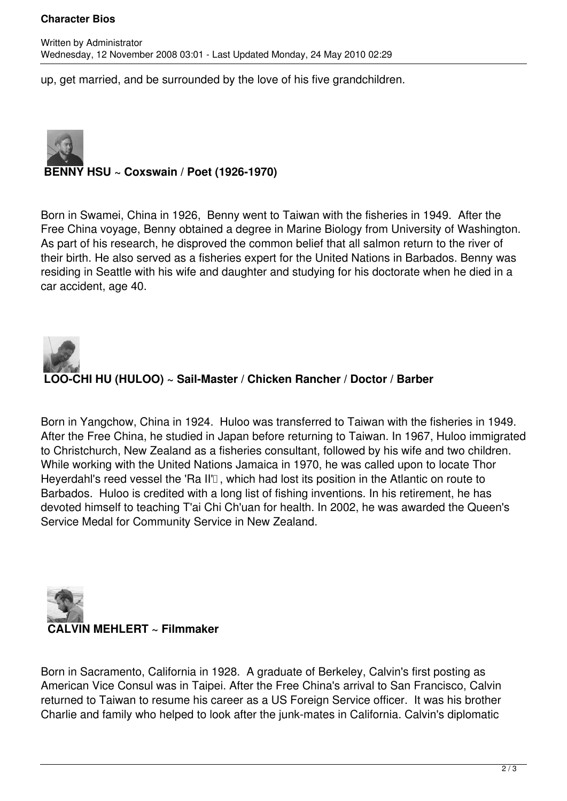#### **Character Bios**

up, get married, and be surrounded by the love of his five grandchildren.



### **BENNY HSU ~ Coxswain / Poet (1926-1970)**

Born in Swamei, China in 1926, Benny went to Taiwan with the fisheries in 1949. After the Free China voyage, Benny obtained a degree in Marine Biology from University of Washington. As part of his research, he disproved the common belief that all salmon return to the river of their birth. He also served as a fisheries expert for the United Nations in Barbados. Benny was residing in Seattle with his wife and daughter and studying for his doctorate when he died in a car accident, age 40.



Born in Yangchow, China in 1924. Huloo was transferred to Taiwan with the fisheries in 1949. After the Free China, he studied in Japan before returning to Taiwan. In 1967, Huloo immigrated to Christchurch, New Zealand as a fisheries consultant, followed by his wife and two children. While working with the United Nations Jamaica in 1970, he was called upon to locate Thor Heyerdahl's reed vessel the 'Ra II'<sub>[]</sub>, which had lost its position in the Atlantic on route to Barbados. Huloo is credited with a long list of fishing inventions. In his retirement, he has devoted himself to teaching T'ai Chi Ch'uan for health. In 2002, he was awarded the Queen's Service Medal for Community Service in New Zealand.



Born in Sacramento, California in 1928. A graduate of Berkeley, Calvin's first posting as American Vice Consul was in Taipei. After the Free China's arrival to San Francisco, Calvin returned to Taiwan to resume his career as a US Foreign Service officer. It was his brother Charlie and family who helped to look after the junk-mates in California. Calvin's diplomatic